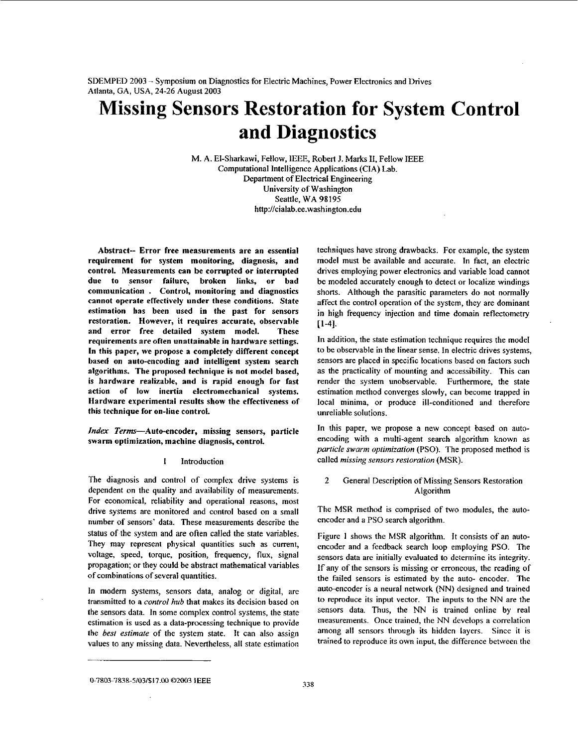# **Missing Sensors Restoration for System Control and Diagnostics**

M. A. El-Sharkawi, Fellow, IEEE, Robert J. Marks **11,** Fellow IEEE Computational Intelligence Applications (CIA) Lab. Department of Electrical Engineering University of Washington Seattle, WA **98195 <http://cialab.ee.washington.edu>**

Abstract-- Error free measurements are an essential requirement for system monitoring, diagnosis, and control. Measurements can be corrupted or interrupted due to sensor failure, broken links, or bad communication . Control, monitoring and diagnostics cannot operate effectively under these conditions. State estimation has been used in the past for sensors restoration. However, it requires accurate, observable and error free detailed system model. These requirements are often unattainable in hardware settings. **In** this paper, we propose a completely different concept based **on** anto-encoding and intelligent system search algorithms. The proposed technique is not model based, is hardware realizable, and is rapid enough for fast action of low inertia electromechanical systems. Hardware experimental results show the effectiveness of this technique for on-line control.

*Index Terms*—Auto-encoder, missing sensors, particle swarm optimization, machine diagnosis, control.

#### I Introduction

The diagnosis and control of complex drive systems is dependent on the quality and availability of measurements. For economical, reliability and operational reasons, most drive systems are monitored and control based on a small number of sensors' data. These measurements describe the status of the system and are often called the state variables. They may represent physical quantities such as current, voltage, speed, torque, position, frequency, flux, signal propagation; or they could be abstract mathematical variables of combinations of several quantities.

In modem systems, sensors data, analog or digital, are transmitted to a *confrol* hub that makes its decision based on the sensors data. In some complex control systems, the state estimation is used as a data-processing technique to provide the *best esfimafe* of the system state. It can also assign values to any missing data. Nevertheless, all state estimation

techniques have strong drawbacks. For example, the system model must be available and accurate. In fact, an electric drives employing power electronics and variable load cannot be modeled accurately enough to detect or localize windings shorts. Although the parasitic parameters do not normally affect the control operation of the system, they are dominant in high frequency injection and time domain reflectometry **[I-41.** 

In addition, the state estimation technique requires the model to be observable in the linear sense. In electric drives systems, sensors are placed in specific locations based on factors such as the practicality of mounting and accessibility. This can render the system unobservable. Furthermore, the state estimation method converges slowly, can become trapped in local minima, or produce ill-conditioned and therefore unreliable solutions.

In this paper, we propose a new concept based on autoencoding with a multi-agent search algorithm known as *parlicle swarm oplimizafion* (PSO). The proposed method is called *missing sensors restoration* (MSR).

# 2 General Description of Missing Sensors Restoration Algorithm

The MSR method is comprised of two modules, the autoencoder and a PSO search algorithm.

Figure I shows the MSR algorithm. It consists of an autoencoder and a feedback search loop employing PSO. The sensors data are initially evaluated to determine its integrity. If any of the sensors is missing or erroneous, the reading of the failed sensors is estimated by the auto- encoder. The auto-encoder is a neural network (NN) designed and trained to reproduce its input vector. The inputs to the NN are the **sensors** data. Thus, the NN is trained online by real measurements. Once trained, the NN develops a correlation among all sensors through its hidden layers. Since it is trained to reproduce its own input, the difference between the

**<sup>138</sup> 0-7803-7838-5/03/\$17.00 02,2003 IEEE**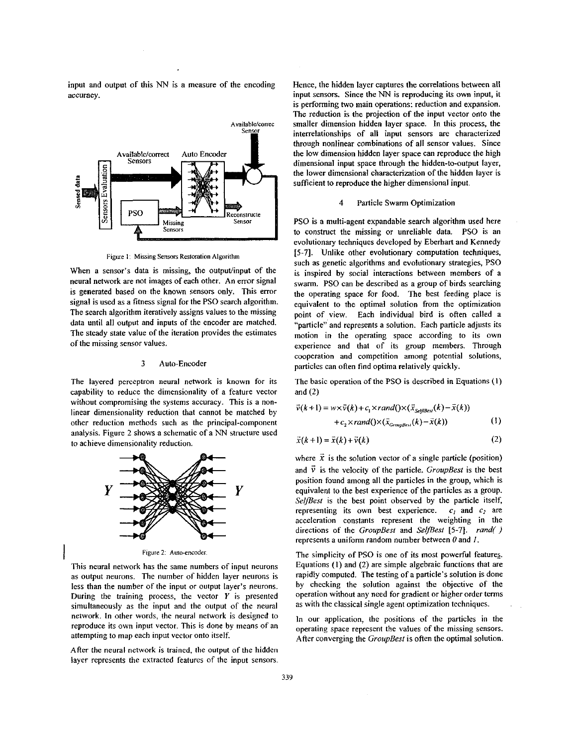input and output of this **NN** is a measure of the encoding accuracy.



**Figure** I: **Missing Sensors Restoration Algorithm** 

When a sensor's data is missing, the output/input of the neural network are not images of each other. An error signal is generated based on the known sensors only. This error signal is used as a fitness signal for the PSO search algorithm. The search algorithm iteratively assigns values to the missing data until all output and inputs of the encoder are matched. The steady state value of the iteration provides the estimates of the missing sensor values.

#### **3** Auto-Encoder

The layered perceptron neural network is known for its capability to reduce the dimensionality of a feature vector without compromising the systems accuracy. This **is** a nonlinear dimensionality reduction that cannot **he** matched by other reduction methods such as the principal-component analysis. Figure 2 shows a schematic of a **NN** structure used to achieve dimensionality reduction.



This neural network has the same numbers of input neurons as output neurons. The number of hidden layer neurons is less than the number of the input or output layer's neurons. During the training process, the vector *Y* is presented simultaneously as the input and the output of the neural network. **In** other words, the neural network is designed to reproduce its own input vector. This is done by means of **an**  attempting to map each input vector onto itself.

I

Afler the neural network is trained, the output of the hidden layer represents the extracted features of the input sensors. Hence, the hidden layer captures the correlations between all input sensors. Since the **NN** is reproducing its own input, it is performing two main operations: reduction and expansion. The reduction is the projection of the input vector onto the smaller dimension hidden layer space. In this process, the interrelationships of all input sensors are characterized through nonlinear combinations of all sensor values. Since the low dimension hidden layer space can reproduce the high dimensional input space through the hidden-to-output layer, the lower dimensional characterization **of** the hidden layer is suficient to reproduce the higher dimensional input.

## 4 Particle Swarm Optimization

PSO is a multi-agent expandable search algorithm used here to construct the missing or unreliable data. **PSO** is an evolutionary techniques developed by Eberhart and Kennedy **15-71.** Unlike other evolutionary computation techniques, such as genetic algorithms and evolutionary strategies, PSO is inspired by social interactions between members of a swarm. **PSO** can **he** described as a group **of** birds searching the operating space for food. The best feeding place is equivalent to the optimal solution from the optimization point of view. Each individual bird is often called a "particle" and represents a solution. Each particle adjusts its motion in the operating space according to its own experience and that of its group members. Through cooperation and competition among potential solutions, particles can often find optima relatively quickly.

The basic operation of the PSO is described in Equations **(I)**  and (2)

$$
\vec{v}(k+1) = w \times \vec{v}(k) + c_1 \times rand(\mathcal{X}(\vec{x}_{\text{SelfBest}}(k) - \vec{x}(k)) \n+ c_2 \times rand(\mathcal{X}(\vec{x}_{\text{GroupBest}}(k) - \vec{x}(k))
$$
\n(1)

$$
\vec{x}(k+1) = \vec{x}(k) + \vec{v}(k) \tag{2}
$$

where  $\vec{x}$  is the solution vector of a single particle (position) and  $\vec{v}$  is the velocity of the particle. *GroupBest* is the best position found among all the particles in the group, which is equivalent to the best experience of the particles as a group. *SelJBesf* is the best point observed by the particle itself, representing its own best experience.  $c_1$  and  $c_2$  are acceleration constants represent the weighting in the directions of the *GroupBesf* and *SelJBesl* [5-71. *rand(* ) represents a uniform random number between **0** and *I.* 

The simplicity of PSO is one of its most powerful features. Equations **(I)** and (2) are simple algebraic functions that are rapidly computed. The testing of a particle's solution is done by checking the solution against the objective of the operation without any need for gradient or higher order terms as with the classical single agent optimization techniques.

In our application, the positions of the particles in the operating space represent the values of the missing sensors. After converging the *GroupBesl* is often the optimal solution.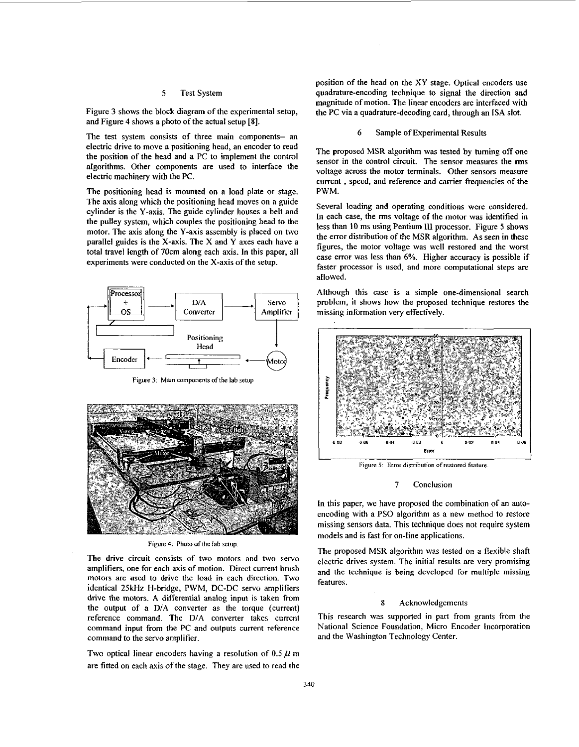# 5 Test System

Figure 3 shows the block diagram of the experimental setup, and Figure 4 shows a photo of the actual setup **[SI.** 

The test system consists of three main components- an electric drive to move a positioning head, an encoder to read the position of the head and a PC to implement the control algorithms. Other components are used to interface the electric machinery with the PC.

The positioning head is mounted on a load plate or stage. The axis along which the positioning head moves on a guide cylinder is the Y-axis. The guide cylinder houses a belt and the pulley system, which couples the positioning head to the motor. The axis along the Y-axis assembly is placed on two parallel guides is the X-axis. The X and Y axes each have a total travel length of 70cm along each axis. In this paper, all experiments were conducted on the X-axis of the setup.



Figure 3: Main components of the lab setup



**Figure 4: Photo of lhe lab sefup.** 

The drive circuit consists of two motors and two servo amplifiers, one for each axis of motion. Direct current brush motors are used to drive the load in each direction. Two identical **251iHz** H-bridge, PWM, DC-DC servo amplifiers drive the motors. A differential analog input is taken from the output of a DIA converter as the torque (current) reference command. The *DIA* converter takes current command input from the PC and outputs current reference command to the servo amplifier.

Two optical linear encoders having a resolution of  $0.5 \mu$  m are fitted on each axis of the stage. They are used to read the position of the head **on** the XY stage. Optical encoders use quadrature-encoding technique to signal the direction and magnitude of motion. The linear encoders are interfaced with the PC via a quadrature-decoding card, through an ISA slot.

#### 6 Sample of Experimental Results

The proposed MSR algorithm was tested by turning off one sensor in the control circuit. The sensor measures the **rms**  voltage across the motor terminals. Other sensors measure current , speed, and reference and cam'er frequencies of the PWM.

Several loading and operating conditions were considered. In each case, the *rms* voltage *of* the motor was identified in less than 10 ms using Pentium 111 processor. Figure 5 shows the error distribution of the MSR algorithm. As seen in these figures, the motor voltage was well restored and the worst case error was less than 6%. Higher accuracy is possible if faster processor is used, and more computational steps are allowed.

Although this case is a simple one-dimensional search problem, it shows how the proposed technique restores the missing information very effectively.



**Figure** *5* **Error dirlnbulion of restored feature** 

## 7 Conclusion

In this paper, we have proposed the combination of an autoencoding with a PSO algorithm as a new method to restore missing sensors data. This technique does not require system models and is fast for on-line applications.

The proposed MSR algorithm was tested on a flexible shaft electric drives system. The initial results are very promising and the technique is being developed for multiple missing features.

## **8** Acknowledgements

This research was supported in part from grants from the National Science Foundation, Micro Encoder Incorporation and the Washington Technology Center.